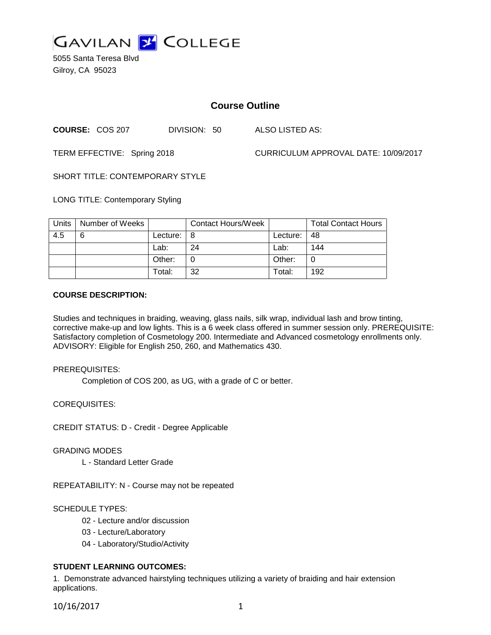

5055 Santa Teresa Blvd Gilroy, CA 95023

# **Course Outline**

**COURSE:** COS 207 DIVISION: 50 ALSO LISTED AS:

TERM EFFECTIVE: Spring 2018 CURRICULUM APPROVAL DATE: 10/09/2017

SHORT TITLE: CONTEMPORARY STYLE

LONG TITLE: Contemporary Styling

| Units | Number of Weeks |          | <b>Contact Hours/Week</b> |          | <b>Total Contact Hours</b> |
|-------|-----------------|----------|---------------------------|----------|----------------------------|
| 4.5   | 6               | Lecture: | l 8                       | Lecture: | -48                        |
|       |                 | Lab:     | 24                        | Lab:     | 144                        |
|       |                 | Other:   |                           | Other:   |                            |
|       |                 | Total:   | 32                        | Total:   | 192                        |

### **COURSE DESCRIPTION:**

Studies and techniques in braiding, weaving, glass nails, silk wrap, individual lash and brow tinting, corrective make-up and low lights. This is a 6 week class offered in summer session only. PREREQUISITE: Satisfactory completion of Cosmetology 200. Intermediate and Advanced cosmetology enrollments only. ADVISORY: Eligible for English 250, 260, and Mathematics 430.

PREREQUISITES:

Completion of COS 200, as UG, with a grade of C or better.

COREQUISITES:

CREDIT STATUS: D - Credit - Degree Applicable

GRADING MODES

L - Standard Letter Grade

REPEATABILITY: N - Course may not be repeated

## SCHEDULE TYPES:

02 - Lecture and/or discussion

- 03 Lecture/Laboratory
- 04 Laboratory/Studio/Activity

# **STUDENT LEARNING OUTCOMES:**

1. Demonstrate advanced hairstyling techniques utilizing a variety of braiding and hair extension applications.

10/16/2017 1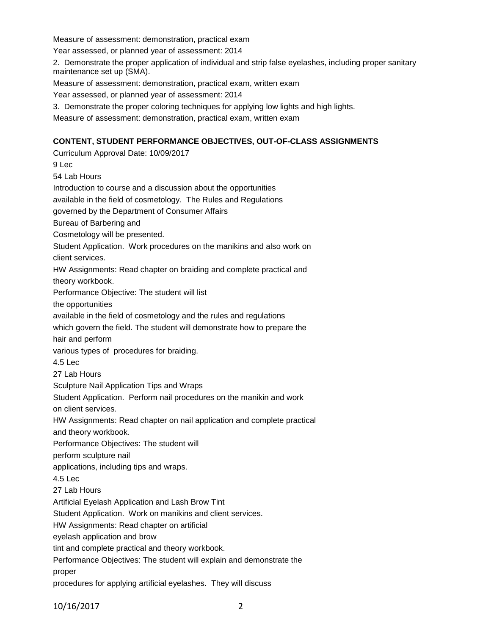Measure of assessment: demonstration, practical exam

Year assessed, or planned year of assessment: 2014

2. Demonstrate the proper application of individual and strip false eyelashes, including proper sanitary maintenance set up (SMA).

Measure of assessment: demonstration, practical exam, written exam

Year assessed, or planned year of assessment: 2014

3. Demonstrate the proper coloring techniques for applying low lights and high lights.

Measure of assessment: demonstration, practical exam, written exam

# **CONTENT, STUDENT PERFORMANCE OBJECTIVES, OUT-OF-CLASS ASSIGNMENTS**

Curriculum Approval Date: 10/09/2017 9 Lec 54 Lab Hours Introduction to course and a discussion about the opportunities available in the field of cosmetology. The Rules and Regulations governed by the Department of Consumer Affairs Bureau of Barbering and Cosmetology will be presented. Student Application. Work procedures on the manikins and also work on client services. HW Assignments: Read chapter on braiding and complete practical and theory workbook. Performance Objective: The student will list the opportunities available in the field of cosmetology and the rules and regulations which govern the field. The student will demonstrate how to prepare the hair and perform various types of procedures for braiding. 4.5 Lec 27 Lab Hours Sculpture Nail Application Tips and Wraps Student Application. Perform nail procedures on the manikin and work on client services. HW Assignments: Read chapter on nail application and complete practical and theory workbook. Performance Objectives: The student will perform sculpture nail applications, including tips and wraps. 4.5 Lec 27 Lab Hours Artificial Eyelash Application and Lash Brow Tint Student Application. Work on manikins and client services. HW Assignments: Read chapter on artificial eyelash application and brow tint and complete practical and theory workbook. Performance Objectives: The student will explain and demonstrate the proper procedures for applying artificial eyelashes. They will discuss

10/16/2017 2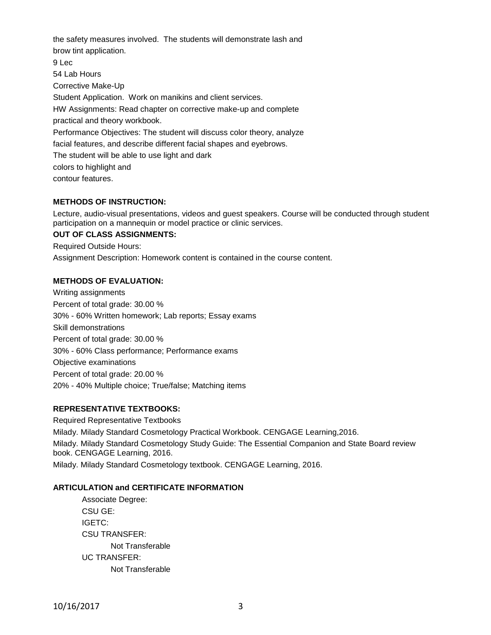the safety measures involved. The students will demonstrate lash and brow tint application. 9 Lec 54 Lab Hours Corrective Make-Up Student Application. Work on manikins and client services. HW Assignments: Read chapter on corrective make-up and complete practical and theory workbook. Performance Objectives: The student will discuss color theory, analyze facial features, and describe different facial shapes and eyebrows. The student will be able to use light and dark colors to highlight and contour features.

### **METHODS OF INSTRUCTION:**

Lecture, audio-visual presentations, videos and guest speakers. Course will be conducted through student participation on a mannequin or model practice or clinic services.

## **OUT OF CLASS ASSIGNMENTS:**

Required Outside Hours:

Assignment Description: Homework content is contained in the course content.

### **METHODS OF EVALUATION:**

Writing assignments Percent of total grade: 30.00 % 30% - 60% Written homework; Lab reports; Essay exams Skill demonstrations Percent of total grade: 30.00 % 30% - 60% Class performance; Performance exams Objective examinations Percent of total grade: 20.00 % 20% - 40% Multiple choice; True/false; Matching items

### **REPRESENTATIVE TEXTBOOKS:**

Required Representative Textbooks Milady. Milady Standard Cosmetology Practical Workbook. CENGAGE Learning,2016. Milady. Milady Standard Cosmetology Study Guide: The Essential Companion and State Board review book. CENGAGE Learning, 2016. Milady. Milady Standard Cosmetology textbook. CENGAGE Learning, 2016.

### **ARTICULATION and CERTIFICATE INFORMATION**

Associate Degree: CSU GE: IGETC: CSU TRANSFER: Not Transferable UC TRANSFER: Not Transferable